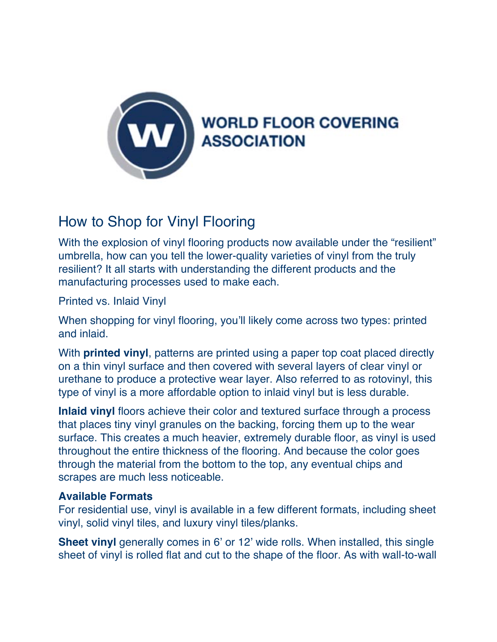

# How to Shop for Vinyl Flooring

With the explosion of vinyl flooring products now available under the "resilient" umbrella, how can you tell the lower-quality varieties of vinyl from the truly resilient? It all starts with understanding the different products and the manufacturing processes used to make each.

Printed vs. Inlaid Vinyl

When shopping for vinyl flooring, you'll likely come across two types: printed and inlaid.

With **printed vinyl**, patterns are printed using a paper top coat placed directly on a thin vinyl surface and then covered with several layers of clear vinyl or urethane to produce a protective wear layer. Also referred to as rotovinyl, this type of vinyl is a more affordable option to inlaid vinyl but is less durable.

**Inlaid vinyl** floors achieve their color and textured surface through a process that places tiny vinyl granules on the backing, forcing them up to the wear surface. This creates a much heavier, extremely durable floor, as vinyl is used throughout the entire thickness of the flooring. And because the color goes through the material from the bottom to the top, any eventual chips and scrapes are much less noticeable.

#### **Available Formats**

For residential use, vinyl is available in a few different formats, including sheet vinyl, solid vinyl tiles, and luxury vinyl tiles/planks.

**Sheet vinyl** generally comes in 6' or 12' wide rolls. When installed, this single sheet of vinyl is rolled flat and cut to the shape of the floor. As with wall-to-wall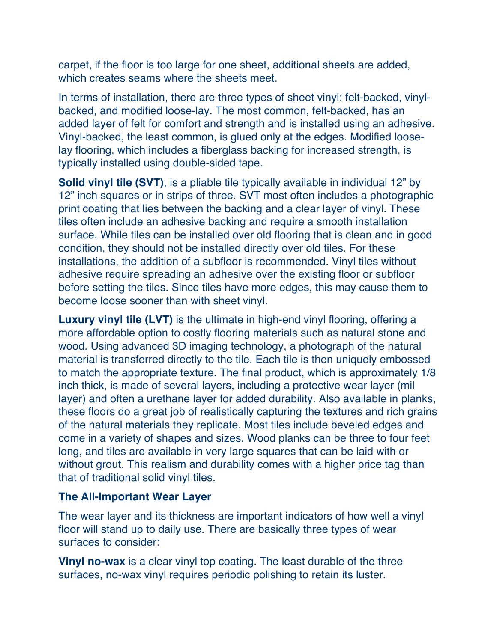carpet, if the floor is too large for one sheet, additional sheets are added, which creates seams where the sheets meet.

In terms of installation, there are three types of sheet vinyl: felt-backed, vinylbacked, and modified loose-lay. The most common, felt-backed, has an added layer of felt for comfort and strength and is installed using an adhesive. Vinyl-backed, the least common, is glued only at the edges. Modified looselay flooring, which includes a fiberglass backing for increased strength, is typically installed using double-sided tape.

**Solid vinyl tile (SVT)**, is a pliable tile typically available in individual 12" by 12" inch squares or in strips of three. SVT most often includes a photographic print coating that lies between the backing and a clear layer of vinyl. These tiles often include an adhesive backing and require a smooth installation surface. While tiles can be installed over old flooring that is clean and in good condition, they should not be installed directly over old tiles. For these installations, the addition of a subfloor is recommended. Vinyl tiles without adhesive require spreading an adhesive over the existing floor or subfloor before setting the tiles. Since tiles have more edges, this may cause them to become loose sooner than with sheet vinyl.

**Luxury vinyl tile (LVT)** is the ultimate in high-end vinyl flooring, offering a more affordable option to costly flooring materials such as natural stone and wood. Using advanced 3D imaging technology, a photograph of the natural material is transferred directly to the tile. Each tile is then uniquely embossed to match the appropriate texture. The final product, which is approximately 1/8 inch thick, is made of several layers, including a protective wear layer (mil layer) and often a urethane layer for added durability. Also available in planks, these floors do a great job of realistically capturing the textures and rich grains of the natural materials they replicate. Most tiles include beveled edges and come in a variety of shapes and sizes. Wood planks can be three to four feet long, and tiles are available in very large squares that can be laid with or without grout. This realism and durability comes with a higher price tag than that of traditional solid vinyl tiles.

#### **The All-Important Wear Layer**

The wear layer and its thickness are important indicators of how well a vinyl floor will stand up to daily use. There are basically three types of wear surfaces to consider:

**Vinyl no-wax** is a clear vinyl top coating. The least durable of the three surfaces, no-wax vinyl requires periodic polishing to retain its luster.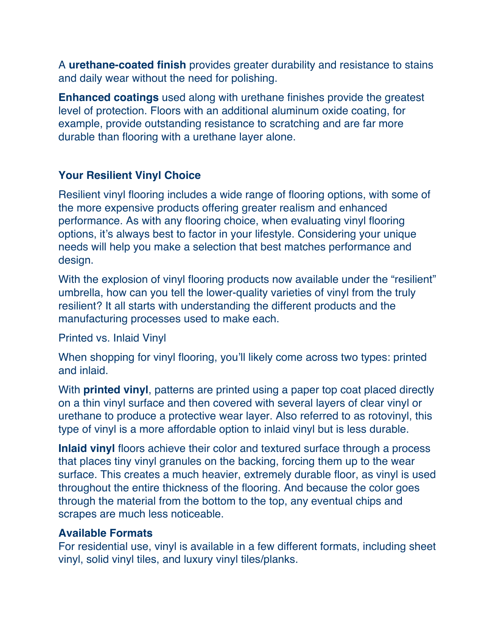A **urethane-coated finish** provides greater durability and resistance to stains and daily wear without the need for polishing.

**Enhanced coatings** used along with urethane finishes provide the greatest level of protection. Floors with an additional aluminum oxide coating, for example, provide outstanding resistance to scratching and are far more durable than flooring with a urethane layer alone.

### **Your Resilient Vinyl Choice**

Resilient vinyl flooring includes a wide range of flooring options, with some of the more expensive products offering greater realism and enhanced performance. As with any flooring choice, when evaluating vinyl flooring options, it's always best to factor in your lifestyle. Considering your unique needs will help you make a selection that best matches performance and design.

With the explosion of vinyl flooring products now available under the "resilient" umbrella, how can you tell the lower-quality varieties of vinyl from the truly resilient? It all starts with understanding the different products and the manufacturing processes used to make each.

Printed vs. Inlaid Vinyl

When shopping for vinyl flooring, you'll likely come across two types: printed and inlaid.

With **printed vinyl**, patterns are printed using a paper top coat placed directly on a thin vinyl surface and then covered with several layers of clear vinyl or urethane to produce a protective wear layer. Also referred to as rotovinyl, this type of vinyl is a more affordable option to inlaid vinyl but is less durable.

**Inlaid vinyl** floors achieve their color and textured surface through a process that places tiny vinyl granules on the backing, forcing them up to the wear surface. This creates a much heavier, extremely durable floor, as vinyl is used throughout the entire thickness of the flooring. And because the color goes through the material from the bottom to the top, any eventual chips and scrapes are much less noticeable.

#### **Available Formats**

For residential use, vinyl is available in a few different formats, including sheet vinyl, solid vinyl tiles, and luxury vinyl tiles/planks.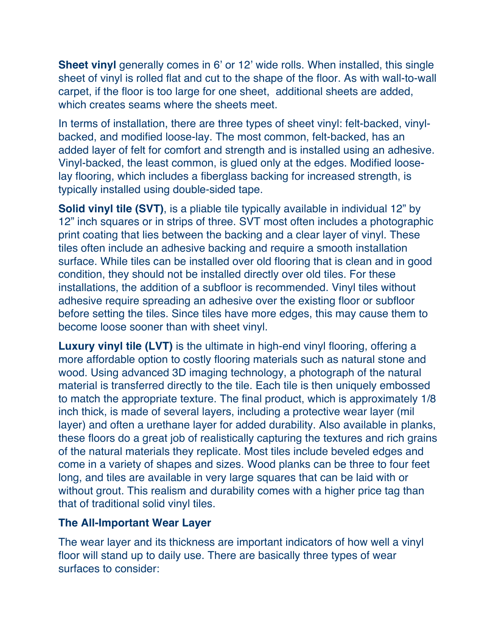**Sheet vinyl** generally comes in 6' or 12' wide rolls. When installed, this single sheet of vinyl is rolled flat and cut to the shape of the floor. As with wall-to-wall carpet, if the floor is too large for one sheet, additional sheets are added, which creates seams where the sheets meet.

In terms of installation, there are three types of sheet vinyl: felt-backed, vinylbacked, and modified loose-lay. The most common, felt-backed, has an added layer of felt for comfort and strength and is installed using an adhesive. Vinyl-backed, the least common, is glued only at the edges. Modified looselay flooring, which includes a fiberglass backing for increased strength, is typically installed using double-sided tape.

**Solid vinyl tile (SVT)**, is a pliable tile typically available in individual 12" by 12" inch squares or in strips of three. SVT most often includes a photographic print coating that lies between the backing and a clear layer of vinyl. These tiles often include an adhesive backing and require a smooth installation surface. While tiles can be installed over old flooring that is clean and in good condition, they should not be installed directly over old tiles. For these installations, the addition of a subfloor is recommended. Vinyl tiles without adhesive require spreading an adhesive over the existing floor or subfloor before setting the tiles. Since tiles have more edges, this may cause them to become loose sooner than with sheet vinyl.

**Luxury vinyl tile (LVT)** is the ultimate in high-end vinyl flooring, offering a more affordable option to costly flooring materials such as natural stone and wood. Using advanced 3D imaging technology, a photograph of the natural material is transferred directly to the tile. Each tile is then uniquely embossed to match the appropriate texture. The final product, which is approximately 1/8 inch thick, is made of several layers, including a protective wear layer (mil layer) and often a urethane layer for added durability. Also available in planks, these floors do a great job of realistically capturing the textures and rich grains of the natural materials they replicate. Most tiles include beveled edges and come in a variety of shapes and sizes. Wood planks can be three to four feet long, and tiles are available in very large squares that can be laid with or without grout. This realism and durability comes with a higher price tag than that of traditional solid vinyl tiles.

#### **The All-Important Wear Layer**

The wear layer and its thickness are important indicators of how well a vinyl floor will stand up to daily use. There are basically three types of wear surfaces to consider: